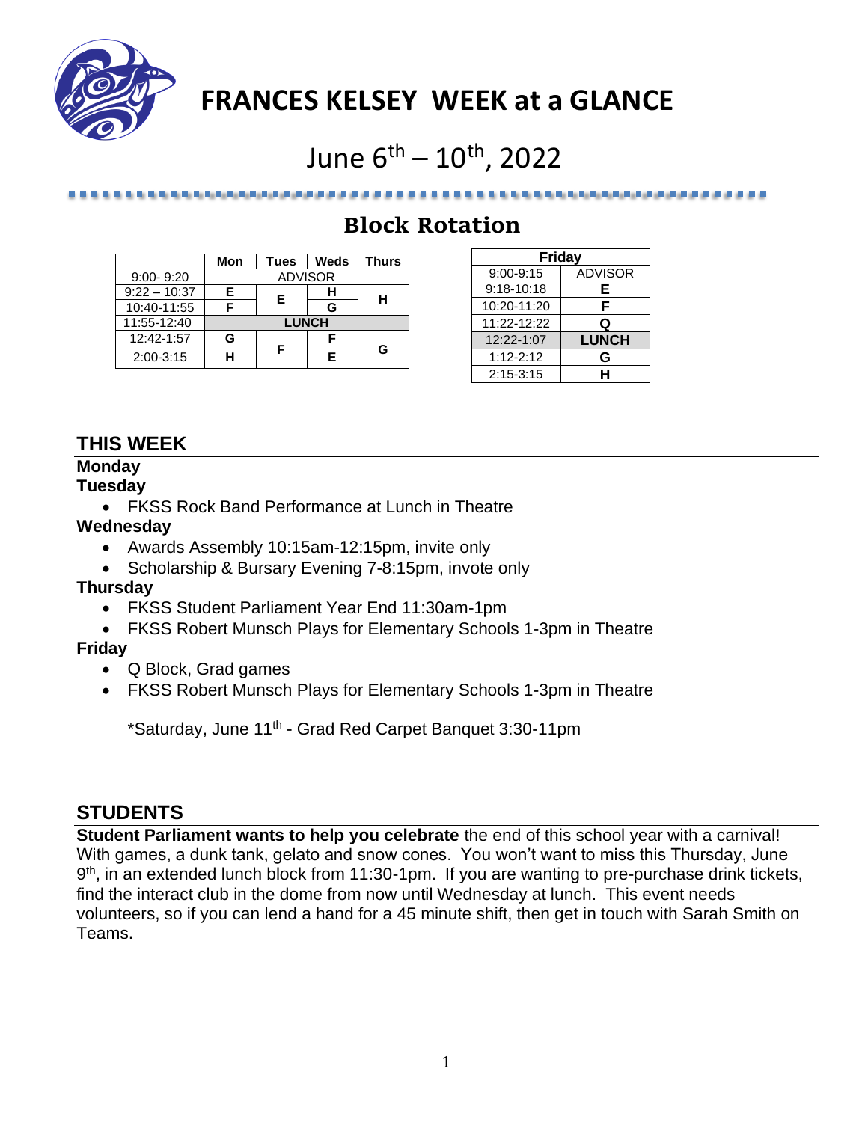

## **FRANCES KELSEY WEEK at a GLANCE**

# June  $6^{\text{th}} - 10^{\text{th}}$ , 2022

## **Block Rotation**

|                | Mon          | Tues           | Weds | <b>Thurs</b> |
|----------------|--------------|----------------|------|--------------|
| $9:00 - 9:20$  |              | <b>ADVISOR</b> |      |              |
| $9:22 - 10:37$ | F.           | Е              |      | н            |
| 10:40-11:55    |              |                | G    |              |
| 11:55-12:40    | <b>LUNCH</b> |                |      |              |
| 12:42-1:57     | G            |                |      |              |
| $2:00-3:15$    |              | F              |      | G            |

医皮肤病 医皮肤病 医皮肤病 医皮肤病 医心包

| Friday        |                |  |  |
|---------------|----------------|--|--|
| $9:00 - 9:15$ | <b>ADVISOR</b> |  |  |
| 9:18-10:18    | Е              |  |  |
| 10:20-11:20   | F              |  |  |
| 11:22-12:22   | Q              |  |  |
| 12:22-1:07    | <b>LUNCH</b>   |  |  |
| $1:12 - 2:12$ | G              |  |  |
| $2:15 - 3:15$ | н              |  |  |

موالو الوالو الوالو الوالوا والوالوا والوالوا والما

## **THIS WEEK**

### **Monday**

#### **Tuesday**

• FKSS Rock Band Performance at Lunch in Theatre

#### **Wednesday**

- Awards Assembly 10:15am-12:15pm, invite only
- Scholarship & Bursary Evening 7-8:15pm, invote only

#### **Thursday**

- FKSS Student Parliament Year End 11:30am-1pm
- FKSS Robert Munsch Plays for Elementary Schools 1-3pm in Theatre

### **Friday**

- Q Block, Grad games
- FKSS Robert Munsch Plays for Elementary Schools 1-3pm in Theatre

\*Saturday, June 11<sup>th</sup> - Grad Red Carpet Banquet 3:30-11pm

## **STUDENTS**

**Student Parliament wants to help you celebrate** the end of this school year with a carnival! With games, a dunk tank, gelato and snow cones. You won't want to miss this Thursday, June 9<sup>th</sup>, in an extended lunch block from 11:30-1pm. If you are wanting to pre-purchase drink tickets, find the interact club in the dome from now until Wednesday at lunch. This event needs volunteers, so if you can lend a hand for a 45 minute shift, then get in touch with Sarah Smith on Teams.